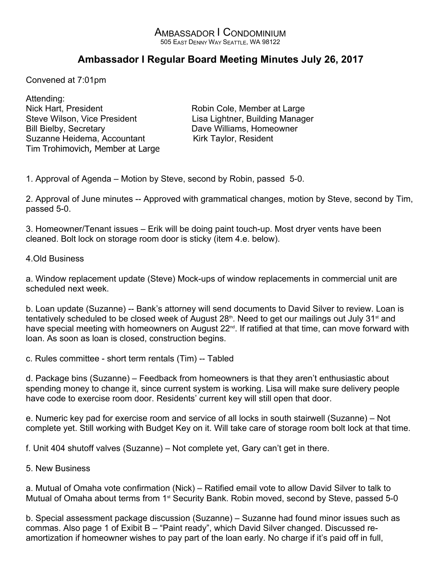## AMBASSADOR I CONDOMINIUM 505 EAST DENNY WAY SEATTLE, WA 98122

## **Ambassador I Regular Board Meeting Minutes July 26, 2017**

Convened at 7:01pm

Attending: Nick Hart, President **Robin Cole, Member at Large** Steve Wilson, Vice President Lisa Lightner, Building Manager Bill Bielby, Secretary **Dave Williams**, Homeowner Suzanne Heidema, Accountant Kirk Taylor, Resident Tim Trohimovich, Member at Large

1. Approval of Agenda – Motion by Steve, second by Robin, passed 5-0.

2. Approval of June minutes -- Approved with grammatical changes, motion by Steve, second by Tim, passed 5-0.

3. Homeowner/Tenant issues – Erik will be doing paint touch-up. Most dryer vents have been cleaned. Bolt lock on storage room door is sticky (item 4.e. below).

## 4.Old Business

a. Window replacement update (Steve) Mock-ups of window replacements in commercial unit are scheduled next week.

b. Loan update (Suzanne) -- Bank's attorney will send documents to David Silver to review. Loan is tentatively scheduled to be closed week of August  $28<sup>th</sup>$ . Need to get our mailings out July  $31<sup>st</sup>$  and have special meeting with homeowners on August 22<sup>nd</sup>. If ratified at that time, can move forward with loan. As soon as loan is closed, construction begins.

c. Rules committee - short term rentals (Tim) -- Tabled

d. Package bins (Suzanne) – Feedback from homeowners is that they aren't enthusiastic about spending money to change it, since current system is working. Lisa will make sure delivery people have code to exercise room door. Residents' current key will still open that door.

e. Numeric key pad for exercise room and service of all locks in south stairwell (Suzanne) – Not complete yet. Still working with Budget Key on it. Will take care of storage room bolt lock at that time.

f. Unit 404 shutoff valves (Suzanne) – Not complete yet, Gary can't get in there.

5. New Business

a. Mutual of Omaha vote confirmation (Nick) – Ratified email vote to allow David Silver to talk to Mutual of Omaha about terms from 1<sup>st</sup> Security Bank. Robin moved, second by Steve, passed 5-0

b. Special assessment package discussion (Suzanne) – Suzanne had found minor issues such as commas. Also page 1 of Exibit B – "Paint ready", which David Silver changed. Discussed reamortization if homeowner wishes to pay part of the loan early. No charge if it's paid off in full,